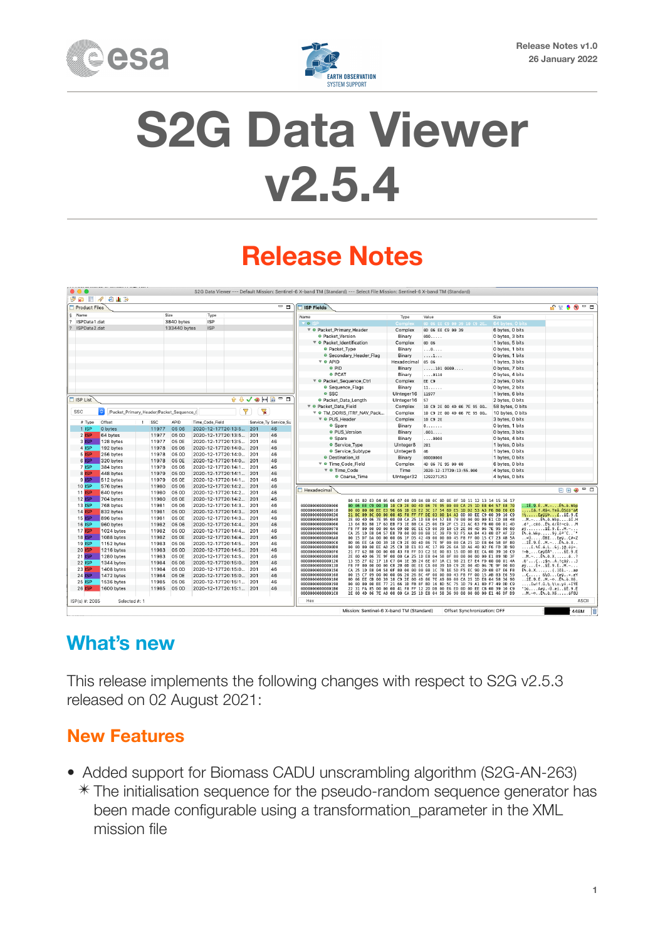



# **S2G Data Viewer v2.5.4**

# **Release Notes**

| Product Files      |                        |                                          |                |                 |                                                  |              | - 8                                    | <b>ISP Fields</b>                      |             |                                                                                                                                                    |                  | ⋒∊≬⊛⋍□                                                                                         |
|--------------------|------------------------|------------------------------------------|----------------|-----------------|--------------------------------------------------|--------------|----------------------------------------|----------------------------------------|-------------|----------------------------------------------------------------------------------------------------------------------------------------------------|------------------|------------------------------------------------------------------------------------------------|
| § Name             |                        | Size                                     |                | Type            |                                                  |              |                                        | Name                                   | Type        | Value                                                                                                                                              | Size             |                                                                                                |
| ISPData1.dat       |                        |                                          | 3840 bytes     | <b>ISP</b>      |                                                  |              |                                        | $\theta$                               | Comple      | 00 06 EE C9 00 39 10 C9 2E                                                                                                                         | 64 bytes, 0 bits |                                                                                                |
| ? ISPData2.dat     |                        |                                          | 133440 bytes   | <b>ISP</b>      |                                                  |              |                                        | ▼ ● Packet_Primary_Header              | Complex     | 0D 06 EE C9 00 39                                                                                                                                  | 6 bytes, 0 bits  |                                                                                                |
|                    |                        |                                          |                |                 |                                                  |              |                                        | <b>• Packet Version</b>                | Binary      | 000                                                                                                                                                | 0 bytes, 3 bits  |                                                                                                |
|                    |                        |                                          |                |                 |                                                  |              |                                        | ▼ ● Packet_Identification              | Complex     | 0D 06                                                                                                                                              | 1 bytes, 5 bits  |                                                                                                |
|                    |                        |                                          |                |                 |                                                  |              |                                        | · Packet_Type                          | Binary      | . 0                                                                                                                                                | 0 bytes, 1 bits  |                                                                                                |
|                    |                        |                                          |                |                 |                                                  |              |                                        | ● Secondary Header Flag                | Binary      | . 1                                                                                                                                                | 0 bytes, 1 bits  |                                                                                                |
|                    |                        |                                          |                |                 |                                                  |              |                                        | $\overline{\mathbf{v}}$ $\bullet$ APID | Hexadecimal | 05 06                                                                                                                                              | 1 bytes, 3 bits  |                                                                                                |
|                    |                        |                                          |                |                 |                                                  |              |                                        | e PID                                  | Binary      | , 101 0000                                                                                                                                         | 0 bytes, 7 bits  |                                                                                                |
|                    |                        |                                          |                |                 |                                                  |              |                                        | <b>e</b> PCAT                          | Binary      | $\ldots$ .0110                                                                                                                                     | 0 bytes, 4 bits  |                                                                                                |
|                    |                        |                                          |                |                 |                                                  |              |                                        | ▼ ● Packet_Sequence_Ctrl               | Complex     | EE C9                                                                                                                                              | 2 bytes, 0 bits  |                                                                                                |
|                    |                        |                                          |                |                 |                                                  |              |                                        | · Sequence_Flags                       | Binary      | 11.                                                                                                                                                | O bytes, 2 bits  |                                                                                                |
|                    |                        |                                          |                |                 |                                                  |              |                                        | $•$ SSC                                | UInteger16  | 11977                                                                                                                                              | 1 bytes, 6 bits  |                                                                                                |
| <b>T ISP List</b>  |                        |                                          |                |                 | $\hat{\mathbf{r}}$ $\hat{\mathbf{v}}$            |              | $V$ $\otimes$ $M$ $\otimes$ $=$ $\Box$ | · Packet_Data_Length                   | UInteger16  | 57                                                                                                                                                 | 2 bytes, 0 bits  |                                                                                                |
|                    |                        |                                          |                |                 |                                                  |              |                                        | ▼ ● Packet Data Field                  | Complex     | 10 C9 2E 00 4D 06 7E 95 00                                                                                                                         | 58 bytes, 0 bits |                                                                                                |
| <b>SSC</b>         |                        | /Packet_Primary_Header/Packet_Sequence_( |                |                 | $\blacktriangledown$                             | $\mathbf{R}$ |                                        | ▼ O TM_DORIS_ITRF_NAV_Pack             | Complex     | 10 C9 2E 00 4D 06 7E 95 00                                                                                                                         | 10 bytes, 0 bits |                                                                                                |
| # Type             | Offset                 | SSC<br>$\mathbf{I}$                      | APID           | Time_Code_Field |                                                  |              | Service_Ty Service_Su                  | ▼ O PUS_Header                         | Complex     | 10 C9 2E                                                                                                                                           | 3 bytes, 0 bits  |                                                                                                |
| $1$ ISP            | 0 bytes                |                                          | 05 06          |                 |                                                  | 201          | 46                                     | • Spare                                | Binary      |                                                                                                                                                    | 0 bytes, 1 bits  |                                                                                                |
| $2$ ISP            | 64 bytes               | 11977<br>11977                           | 05 OD          |                 | 2020-12-17T20:13:5                               | 201          | 46                                     | <b>• PUS_Version</b>                   | Binary      | .001                                                                                                                                               | 0 bytes, 3 bits  |                                                                                                |
| 3 ISP              | 128 bytes              | 11977                                    | 05 OE          |                 | 2020-12-17T20:13:5                               |              | 46                                     | <b>•</b> Spare                         | Binary      | 0000                                                                                                                                               | 0 bytes, 4 bits  |                                                                                                |
| 4 ISP              |                        | 11978                                    | 05 06          |                 | 2020-12-17T20:13:5                               | 201          | 46                                     | • Service_Type                         | UInteger8   | 201                                                                                                                                                | 1 bytes, 0 bits  |                                                                                                |
|                    | 192 bytes              |                                          |                |                 | 2020-12-17T20:14:0                               | 201          |                                        | · Service_Subtype                      | UInteger8   | 46                                                                                                                                                 | 1 bytes, 0 bits  |                                                                                                |
| $5$ ISP<br>$6$ ISP | 256 bytes              | 11978                                    | 05 OD          |                 | 2020-12-17T20:14:0                               | 201          | 46                                     | · Destination_Id                       | Binary      | 00000000                                                                                                                                           | 1 bytes, 0 bits  |                                                                                                |
| 7 ISP              | 320 bytes              | 11978<br>11979                           | 05 OE<br>05 06 |                 | 2020-12-17T20:14:0                               | 201          | 46<br>46                               | ▼ ● Time_Code_Field                    | Complex     | 4D 06 7E 95 00 00                                                                                                                                  | 6 bytes, 0 bits  |                                                                                                |
| 8 ISP              | 384 bytes<br>448 bytes | 11979                                    | 05 OD          |                 | 2020-12-17T20:14:1 201                           |              | 46                                     | ▼ O Time_Code                          | Time        | 2020-12-17T20:13:55.000                                                                                                                            | 4 bytes, 0 bits  |                                                                                                |
| $9$ ISP            | 512 bytes              | 11979                                    | 05 OE          |                 | 2020-12-17T20:14:1 201<br>2020-12-17T20:14:1 201 |              | 46                                     | ● Coarse_Time                          | UInteger32  | 1292271253                                                                                                                                         | 4 bytes, 0 bits  |                                                                                                |
| <b>10 ISP</b>      | 576 bytes              | 11980                                    | 05 06          |                 | 2020-12-17T20:14:2 201                           |              | 46                                     |                                        |             |                                                                                                                                                    |                  |                                                                                                |
| $11$ ISP           | 640 bytes              | 11980                                    | 05 OD          |                 | 2020-12-17T20:14:2 201                           |              | 46                                     | Hexadecimal                            |             |                                                                                                                                                    |                  | FF 3                                                                                           |
| $12$ ISP           | 704 bytes              | 11980                                    | 05 OE          |                 | 2020-12-17T20:14:2 201                           |              | 46                                     |                                        |             |                                                                                                                                                    |                  |                                                                                                |
| <b>13 ISP</b>      | 768 bytes              | 11981                                    | 05 06          |                 |                                                  | 201          | 46                                     |                                        |             | 00 01 02 03 04 05 06 07 08 09 0A 0B 0C 0D 0E 0F 10 11 12 13 14 15 16 17                                                                            |                  |                                                                                                |
| <b>14 ISP</b>      | 832 bytes              | 11981                                    | 05 OD          |                 | 2020-12-17T20:14:3<br>2020-12-17T20:14:3         | 201          | 46                                     | 000000000000000<br>000000000000018     |             | 0D 06 EE C9 00 39 10 C9 2E 00 4D 06 7E 95 00 00 CA 25 1D E8 04 57 E8 70<br>00 00 00 00 EE E3 96 66 1D C6 E2 3C 17 54 6D E5 1D D2 53 A3 F6 B0 E0 C6 |                  | îÉ.9.ĖM.∼Ė%.è.Wèp<br>îã.f.Æå<.Tmå.ÒS£ō°àÆ                                                      |
| <b>15 ISP</b>      | 896 bytes              | 11981                                    | 05 OE          |                 | 2020-12-17T20:14:3                               | 201          | 46                                     | 000000000000030                        |             | 21 BC 09 8C 00 00 00 45 F8 FF FF DE 03 00 14 A3 0D 0D EE C9 00 39 10 C9                                                                            |                  | $! \frac{1}{2}$ EgÿÿÞ£îÉ.9.É                                                                   |
| <b>16 ISP</b>      | 960 bytes              | 11982                                    | 05 06          |                 | 2020-12-17T20:14:4                               | 201          | 46                                     | 000000000000048<br>000000000000060     |             | 2E 00 4D 06 7E 95 00 00 CA 25 1D E8 04 57 E8 70 00 00 00 00 E1 CD 08 48<br>13 64 B3 B8 17 63 EB F3 1E 88 CA 25 06 E9 2F C5 21 AC 63 FB 00 00 01 4D |                  | $$ M. $ E$ %. è. Wèp áÍ. H<br>.dª,.cëóÊ%.é/Å!¬cûM                                              |
| <b>17 ISP</b>      | 1024 bytes             | 11982                                    | 05 OD          |                 | 2020-12-17T20:14:4                               | 201          | 46                                     | 606666666666678                        |             | F8 FF 00 00 00 00 00 A 09 0D 0E EE C9 00 39 10 C9 2E 00 4D 06 7E 95 00 00                                                                          |                  | $g\ddot{v}$ 1É.9.ÉM.~                                                                          |
| <b>18 ISP</b>      | 1088 bytes             | 11982                                    | 05 OE          |                 | 2020-12-17T20:14:4                               | 201          | 46                                     | 000000000000090                        |             | CA 25 1D E8 04 57 E8 70 00 00 00 00 1C 39 FD 92 F5 AA B4 43 08 07 AF 22                                                                            |                  | Ê%.è.Wèp9v.öª'C""                                                                              |
| <b>19 ISP</b>      | 1152 bytes             | 11983                                    | 05 06          |                 | 2020-12-17T20:14:5                               | 201          | 46                                     | 6000000000000A8<br>6000000000000000    |             | 00 15 D7 DA 00 00 00 06 1F D5 42 49 00 00 00 45 F8 FF 00 15 C7 23 AB 5A<br>0D 06 EE CA 00 39 10 C9 2E 00 4D 06 7E 9F 00 00 CA 25 1D E8 04 58 0F 80 |                  | $ \times 0$ . $\overline{0}B$ I $Eg\overline{v}$ $C\#wZ$<br>$$ îÊ.9.ÉM.~Ê%.è.X                 |
| <b>20 ISP</b>      | 1216 bytes             | 11983                                    | 05 OD          |                 | 2020-12-17T20:14:5 201                           |              | 46                                     | 6066666666660D8                        |             | 00 00 00 00 EE AD 25 C9 1D E1 83 4C 17 09 26 6A 1D A6 40 02 F6 FD 3D 90                                                                            |                  | $$ $i$ $s$ $t$ $d$ $L$ $d$ $j$ $g$ $d$ $p$ $s$                                                 |
| 21 ISP             | 1280 bytes             | 11983                                    | 05 OE          |                 | 2020-12-17T20:14:5                               | 201          | 46                                     | 6066666666666F6<br>606666666666108     |             | 21 F7 62 B8 00 00 00 43 F8 FF D3 C2 5E 00 83 15 0D 0D EE CA 00 39 10 C9<br>2E 00 4D 06 7E 9F 00 00 CA 25 1D E8 04 58 0F 80 00 00 00 00 E1 89 9D 3F |                  | !+bCøÿÓÂ^ÎÊ.9.É<br>$$ M $ E_8$ , è.X $6$                                                       |
| <b>22 ISP</b>      | 1344 bytes             | 11984                                    | 05 06          |                 | 2020-12-17T20:15:0                               | 201          | 46                                     | 600606060600120                        |             | 13 55 27 02 17 18 C7 04 1E 3B 24 6E 07 1A C1 98 21 E7 E4 FD 00 00 01 4A                                                                            |                  | $U' \ldots C \ldots$ ; \$n. $\ldots$ A. ! çãý J                                                |
| 23 ISP             | 1408 bytes             | 11984                                    | 05 OD          |                 | 2020-12-17T20:15:0                               | 201          | 46                                     | 6000000000000138                       |             | F8 FF 00 00 00 00 C8 2B 0D 0E EE CA 00 39 10 C9 2E 00 4D 06 7E 9F 00 00                                                                            |                  | øÿÈ+îÊ.9.ÉM.~                                                                                  |
| <b>24 ISP</b>      | 1472 bytes             | 11984                                    | 05 OE          |                 | 2020-12-17T20:15:0                               | 201          | 46                                     | 606666666660150<br>600000000000168     |             | CA 25 1D E8 04 58 0F 80 00 00 00 00 1C 7B 1E 5D F5 EC 90 2D 08 07 E6 F8<br>00 15 C7 09 00 00 00 06 20 26 BC 4F 00 00 00 43 F8 FF 00 15 AB 83 E6 59 |                  | Ê%.è.X{.]ōì.-æø<br>$\ldots$ C $\delta\lambda_1$ OCøÿ«.aY                                       |
| <b>25 ISP</b>      | 1536 bytes             | 11985                                    | 05 06          |                 | 2020-12-17T20:15:1 201                           |              | 46                                     | 000000000000180                        |             | 0D 06 EE CB 00 39 10 C9 2E 00 4D 06 7E A9 00 00 CA 25 1D E8 04 58 36 96                                                                            |                  | îE.9.ÉM.~©Ê%.è.X6                                                                              |
| 26 ISP             | 1600 bytes             | 11985                                    | 05 OD          |                 |                                                  |              | 46                                     | 600606060600198<br>60000000000001B0    |             | 00 00 00 00 EE 77 21 66 1D FB 8F BD 16 BD 5C 75 1D 79 A1 8D F7 49 DD C9<br>22 31 FA 85 00 00 00 41 F8 FF 12 2D DB 00 E6 ED 0D 0D EE CB 00 39 10 C9 |                  | $$ $i$ w!f.0. $\frac{1}{2}$ , $\frac{1}{2}$ \u.yi. $\pm I\hat{Y}\hat{E}$<br>"lúAøÿ.-Û.æíîE.9.É |
|                    |                        |                                          |                |                 | 2020-12-17T20:15:1 201                           |              |                                        | 0000000000001C8                        |             | 2E 00 4D 06 7E A9 00 00 CA 25 1D E8 04 58 36 90 00 00 00 00 E1 46 DF D9                                                                            |                  | $$ M. $-0$ Ê%. è. X6 . áFBÙ                                                                    |

#### **What's new**

This release implements the following changes with respect to S2G v2.5.3 released on 02 August 2021:

#### **New Features**

- Added support for Biomass CADU unscrambling algorithm (S2G-AN-263)
	- ✴ The initialisation sequence for the pseudo-random sequence generator has been made configurable using a transformation\_parameter in the XML mission file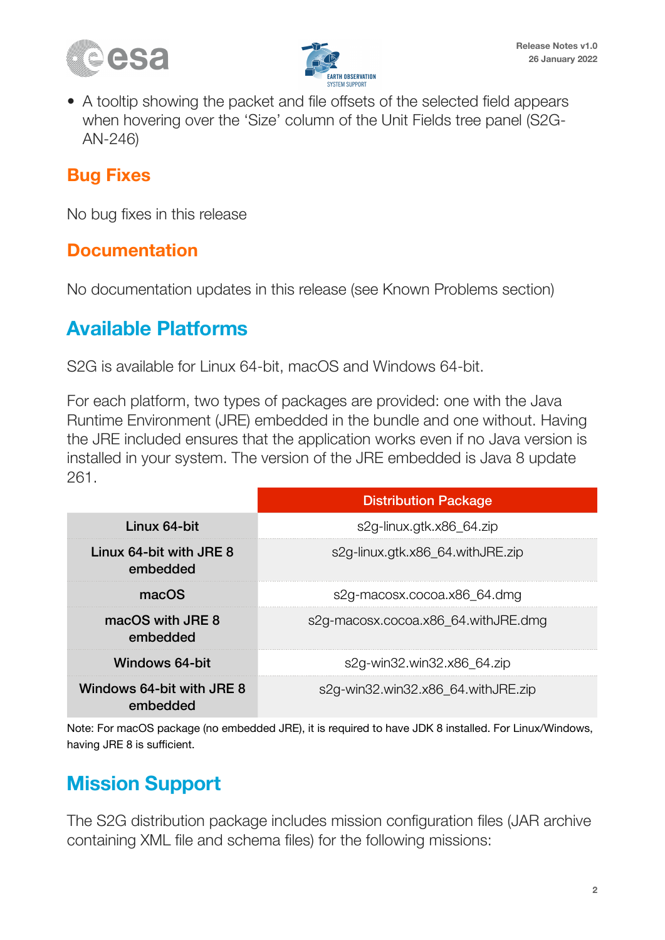



• A tooltip showing the packet and file offsets of the selected field appears when hovering over the 'Size' column of the Unit Fields tree panel (S2G-AN-246)

#### **Bug Fixes**

No bug fixes in this release

#### **Documentation**

No documentation updates in this release (see Known Problems section)

#### **Available Platforms**

S2G is available for Linux 64-bit, macOS and Windows 64-bit.

For each platform, two types of packages are provided: one with the Java Runtime Environment (JRE) embedded in the bundle and one without. Having the JRE included ensures that the application works even if no Java version is installed in your system. The version of the JRE embedded is Java 8 update 261.

|                                       | <b>Distribution Package</b>         |  |  |  |  |
|---------------------------------------|-------------------------------------|--|--|--|--|
| Linux 64-bit                          | s2g-linux.gtk.x86_64.zip            |  |  |  |  |
| Linux 64-bit with JRE 8<br>embedded   | s2g-linux.gtk.x86_64.withJRE.zip    |  |  |  |  |
| macOS                                 | s2g-macosx.cocoa.x86_64.dmg         |  |  |  |  |
| macOS with JRE 8<br>embedded          | s2g-macosx.cocoa.x86_64.withJRE.dmg |  |  |  |  |
| Windows 64-bit                        | s2g-win32.win32.x86_64.zip          |  |  |  |  |
| Windows 64-bit with JRE 8<br>embedded | s2g-win32.win32.x86_64.withJRE.zip  |  |  |  |  |

Note: For macOS package (no embedded JRE), it is required to have JDK 8 installed. For Linux/Windows, having JRE 8 is sufficient.

## **Mission Support**

The S2G distribution package includes mission configuration files (JAR archive containing XML file and schema files) for the following missions: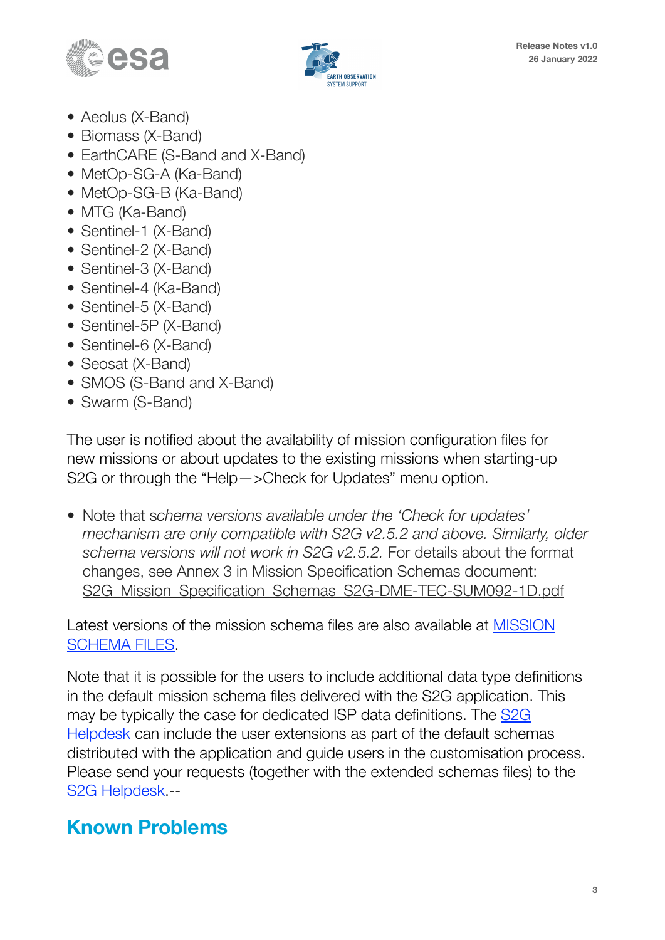



- Aeolus (X-Band)
- Biomass (X-Band)
- EarthCARE (S-Band and X-Band)
- MetOp-SG-A (Ka-Band)
- MetOp-SG-B (Ka-Band)
- MTG (Ka-Band)
- Sentinel-1 (X-Band)
- Sentinel-2 (X-Band)
- Sentinel-3 (X-Band)
- Sentinel-4 (Ka-Band)
- Sentinel-5 (X-Band)
- Sentinel-5P (X-Band)
- Sentinel-6 (X-Band)
- Seosat (X-Band)
- SMOS (S-Band and X-Band)
- Swarm (S-Band)

The user is notified about the availability of mission configuration files for new missions or about updates to the existing missions when starting-up S2G or through the "Help—>Check for Updates" menu option.

• Note that s*chema versions available under the 'Check for updates' mechanism are only compatible with S2G v2.5.2 and above. Similarly, older schema versions will not work in S2G v2.5.2.* For details about the format changes, see Annex 3 in Mission Specification Schemas document: S2G Mission Specification Schemas S2G-DME-TEC-SUM092-1D.pdf

Latest versions of the mission schema files are also available at [MISSION](http://eop-cfi.esa.int/Repo/PUBLIC/DOCUMENTATION/MISSION_DATA/TELEMETRY_SCHEMA_FILES/)  [SCHEMA FILES](http://eop-cfi.esa.int/Repo/PUBLIC/DOCUMENTATION/MISSION_DATA/TELEMETRY_SCHEMA_FILES/).

Note that it is possible for the users to include additional data type definitions in the default mission schema files delivered with the S2G application. This may be typically the case for dedicated ISP data definitions. The [S2G](mailto:no_reply@apple.com?subject=)  [Helpdesk](mailto:no_reply@apple.com?subject=) can include the user extensions as part of the default schemas distributed with the application and guide users in the customisation process. Please send your requests (together with the extended schemas files) to the [S2G Helpdesk.](mailto:no_reply@apple.com?subject=)--

#### **Known Problems**